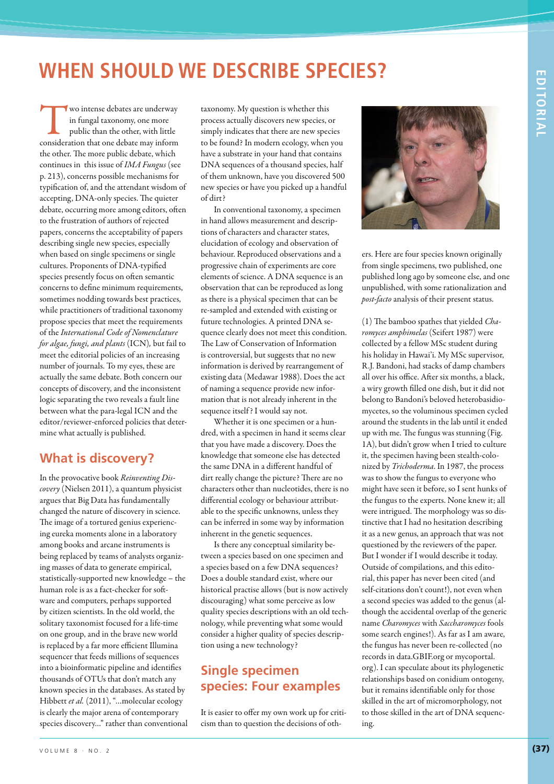## **WHEN SHOULD WE DESCRIBE SPECIES?**

Two intense debates are underway<br>in fungal taxonomy, one more<br>public than the other, with little<br>consideration that one debate may inform in fungal taxonomy, one more public than the other, with little the other. The more public debate, which continues in this issue of IMA Fungus (see p. 213), concerns possible mechanisms for typification of, and the attendant wisdom of accepting, DNA-only species. The quieter debate, occurring more among editors, often to the frustration of authors of rejected papers, concerns the acceptability of papers describing single new species, especially when based on single specimens or single cultures. Proponents of DNA-typified species presently focus on often semantic concerns to define minimum requirements, sometimes nodding towards best practices, while practitioners of traditional taxonomy propose species that meet the requirements of the International Code of Nomenclature for algae, fungi, and plants (ICN), but fail to meet the editorial policies of an increasing number of journals. To my eyes, these are actually the same debate. Both concern our concepts of discovery, and the inconsistent logic separating the two reveals a fault line between what the para-legal ICN and the editor/reviewer-enforced policies that determine what actually is published.

## **What is discovery?**

In the provocative book Reinventing Discovery (Nielsen 2011), a quantum physicist argues that Big Data has fundamentally changed the nature of discovery in science. The image of a tortured genius experiencing eureka moments alone in a laboratory among books and arcane instruments is being replaced by teams of analysts organizing masses of data to generate empirical, statistically-supported new knowledge – the human role is as a fact-checker for software and computers, perhaps supported by citizen scientists. In the old world, the solitary taxonomist focused for a life-time on one group, and in the brave new world is replaced by a far more efficient Illumina sequencer that feeds millions of sequences into a bioinformatic pipeline and identifies thousands of OTUs that don't match any known species in the databases. As stated by Hibbett et al. (2011), "...molecular ecology is clearly the major arena of contemporary species discovery…" rather than conventional

taxonomy. My question is whether this process actually discovers new species, or simply indicates that there are new species to be found? In modern ecology, when you have a substrate in your hand that contains DNA sequences of a thousand species, half of them unknown, have you discovered 500 new species or have you picked up a handful of dirt?

In conventional taxonomy, a specimen in hand allows measurement and descriptions of characters and character states, elucidation of ecology and observation of behaviour. Reproduced observations and a progressive chain of experiments are core elements of science. A DNA sequence is an observation that can be reproduced as long as there is a physical specimen that can be re-sampled and extended with existing or future technologies. A printed DNA sequence clearly does not meet this condition. The Law of Conservation of Information is controversial, but suggests that no new information is derived by rearrangement of existing data (Medawar 1988). Does the act of naming a sequence provide new information that is not already inherent in the sequence itself ? I would say not.

Whether it is one specimen or a hundred, with a specimen in hand it seems clear that you have made a discovery. Does the knowledge that someone else has detected the same DNA in a different handful of dirt really change the picture? There are no characters other than nucleotides, there is no differential ecology or behaviour attributable to the specific unknowns, unless they can be inferred in some way by information inherent in the genetic sequences.

Is there any conceptual similarity between a species based on one specimen and a species based on a few DNA sequences? Does a double standard exist, where our historical practise allows (but is now actively discouraging) what some perceive as low quality species descriptions with an old technology, while preventing what some would consider a higher quality of species description using a new technology?

## **Single specimen species: Four examples**

It is easier to offer my own work up for criticism than to question the decisions of oth-



ers. Here are four species known originally from single specimens, two published, one published long ago by someone else, and one unpublished, with some rationalization and post-facto analysis of their present status.

(1) The bamboo spathes that yielded  $Cha$ romyces amphimelas (Seifert 1987) were collected by a fellow MSc student during his holiday in Hawai'i. My MSc supervisor, R.J. Bandoni, had stacks of damp chambers all over his office. After six months, a black, a wiry growth filled one dish, but it did not belong to Bandoni's beloved heterobasidiomycetes, so the voluminous specimen cycled around the students in the lab until it ended up with me. The fungus was stunning (Fig. 1A), but didn't grow when I tried to culture it, the specimen having been stealth-colonized by Trichoderma. In 1987, the process was to show the fungus to everyone who might have seen it before, so I sent hunks of the fungus to the experts. None knew it; all were intrigued. The morphology was so distinctive that I had no hesitation describing it as a new genus, an approach that was not questioned by the reviewers of the paper. But I wonder if I would describe it today. Outside of compilations, and this editorial, this paper has never been cited (and self-citations don't count!), not even when a second species was added to the genus (although the accidental overlap of the generic name Charomyces with Saccharomyces fools some search engines!). As far as I am aware, the fungus has never been re-collected (no records in data.GBIF.org or mycoportal. org). I can speculate about its phylogenetic relationships based on conidium ontogeny, but it remains identifiable only for those skilled in the art of micromorphology, not to those skilled in the art of DNA sequencing.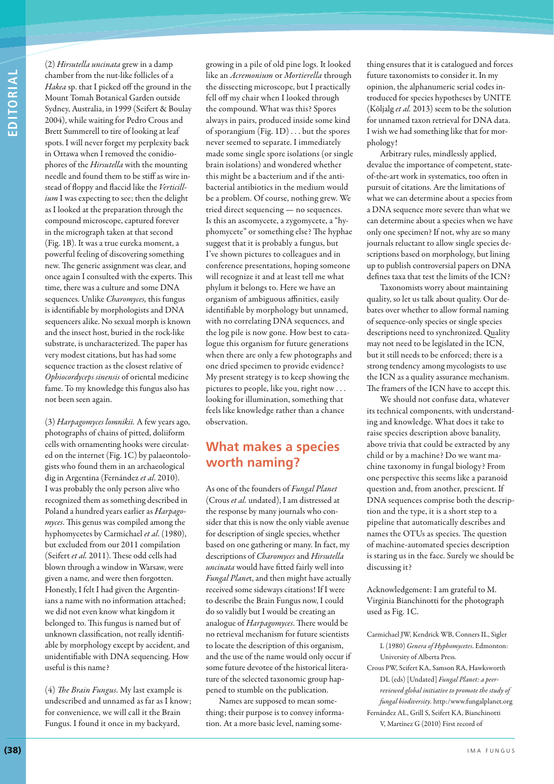(2) Hirsutella uncinata grew in a damp chamber from the nut-like follicles of a Hakea sp. that I picked off the ground in the Mount Tomah Botanical Garden outside Sydney, Australia, in 1999 (Seifert & Boulay 2004), while waiting for Pedro Crous and Brett Summerell to tire of looking at leaf spots. I will never forget my perplexity back in Ottawa when I removed the conidiophores of the Hirsutella with the mounting needle and found them to be stiff as wire instead of floppy and flaccid like the Verticillium I was expecting to see; then the delight as I looked at the preparation through the compound microscope, captured forever in the micrograph taken at that second (Fig. 1B). It was a true eureka moment, a powerful feeling of discovering something new. The generic assignment was clear, and once again I consulted with the experts. This time, there was a culture and some DNA sequences. Unlike Charomyces, this fungus is identifiable by morphologists and DNA sequencers alike. No sexual morph is known and the insect host, buried in the rock-like substrate, is uncharacterized. The paper has very modest citations, but has had some sequence traction as the closest relative of Ophiocordyceps sinensis of oriental medicine fame. To my knowledge this fungus also has not been seen again.

(3) Harpagomyces lomnikii. A few years ago, photographs of chains of pitted, doliiform cells with ornamenting hooks were circulated on the internet (Fig. 1C) by palaeontologists who found them in an archaeological dig in Argentina (Fernández et al. 2010). I was probably the only person alive who recognized them as something described in Poland a hundred years earlier as Harpagomyces. This genus was compiled among the hyphomycetes by Carmichael et al. (1980), but excluded from our 2011 compilation (Seifert et al. 2011). These odd cells had blown through a window in Warsaw, were given a name, and were then forgotten. Honestly, I felt I had given the Argentinians a name with no information attached; we did not even know what kingdom it belonged to. This fungus is named but of unknown classification, not really identifiable by morphology except by accident, and unidentifiable with DNA sequencing. How useful is this name?

(4) The Brain Fungus. My last example is undescribed and unnamed as far as I know; for convenience, we will call it the Brain Fungus. I found it once in my backyard,

growing in a pile of old pine logs. It looked like an Acremonium or Mortierella through the dissecting microscope, but I practically fell off my chair when I looked through the compound. What was this? Spores always in pairs, produced inside some kind of sporangium (Fig. 1D) . . . but the spores never seemed to separate. I immediately made some single spore isolations (or single brain isolations) and wondered whether this might be a bacterium and if the antibacterial antibiotics in the medium would be a problem. Of course, nothing grew. We tried direct sequencing — no sequences. Is this an ascomycete, a zygomycete, a "hyphomycete" or something else? The hyphae suggest that it is probably a fungus, but I've shown pictures to colleagues and in conference presentations, hoping someone will recognize it and at least tell me what phylum it belongs to. Here we have an organism of ambiguous affinities, easily identifiable by morphology but unnamed, with no correlating DNA sequences, and the log pile is now gone. How best to catalogue this organism for future generations when there are only a few photographs and one dried specimen to provide evidence? My present strategy is to keep showing the pictures to people, like you, right now . . . looking for illumination, something that feels like knowledge rather than a chance observation.

## **What makes a species worth naming?**

As one of the founders of Fungal Planet (Crous et al. undated), I am distressed at the response by many journals who consider that this is now the only viable avenue for description of single species, whether based on one gathering or many. In fact, my descriptions of Charomyces and Hirsutella uncinata would have fitted fairly well into Fungal Planet, and then might have actually received some sideways citations! If I were to describe the Brain Fungus now, I could do so validly but I would be creating an analogue of Harpagomyces. There would be no retrieval mechanism for future scientists to locate the description of this organism, and the use of the name would only occur if some future devotee of the historical literature of the selected taxonomic group happened to stumble on the publication.

Names are supposed to mean something; their purpose is to convey information. At a more basic level, naming something ensures that it is catalogued and forces future taxonomists to consider it. In my opinion, the alphanumeric serial codes introduced for species hypotheses by UNITE (Kõljalg et al. 2013) seem to be the solution for unnamed taxon retrieval for DNA data. I wish we had something like that for morphology!

Arbitrary rules, mindlessly applied, devalue the importance of competent, stateof-the-art work in systematics, too often in pursuit of citations. Are the limitations of what we can determine about a species from a DNA sequence more severe than what we can determine about a species when we have only one specimen? If not, why are so many journals reluctant to allow single species descriptions based on morphology, but lining up to publish controversial papers on DNA defines taxa that test the limits of the ICN?

Taxonomists worry about maintaining quality, so let us talk about quality. Our debates over whether to allow formal naming of sequence-only species or single species descriptions need to synchronized. Quality may not need to be legislated in the ICN, but it still needs to be enforced; there is a strong tendency among mycologists to use the ICN as a quality assurance mechanism. The framers of the ICN have to accept this.

We should not confuse data, whatever its technical components, with understanding and knowledge. What does it take to raise species description above banality, above trivia that could be extracted by any child or by a machine? Do we want machine taxonomy in fungal biology? From one perspective this seems like a paranoid question and, from another, prescient. If DNA sequences comprise both the description and the type, it is a short step to a pipeline that automatically describes and names the OTUs as species. The question of machine-automated species description is staring us in the face. Surely we should be discussing it?

Acknowledgement: I am grateful to M. Virginia Bianchinotti for the photograph used as Fig. 1C.

- Carmichael JW, Kendrick WB, Conners IL, Sigler L (1980) Genera of Hyphomycetes. Edmonton: University of Alberta Press.
- Crous PW, Seifert KA, Samson RA, Hawksworth DL (eds) [Undated] Fungal Planet: a peerreviewed global initiative to promote the study of fungal biodiversity. http:/www.fungalplanet.org Fernández AL, Grill S, Seifert KA, Bianchinotti
	- V, Martínez G (2010) First record of